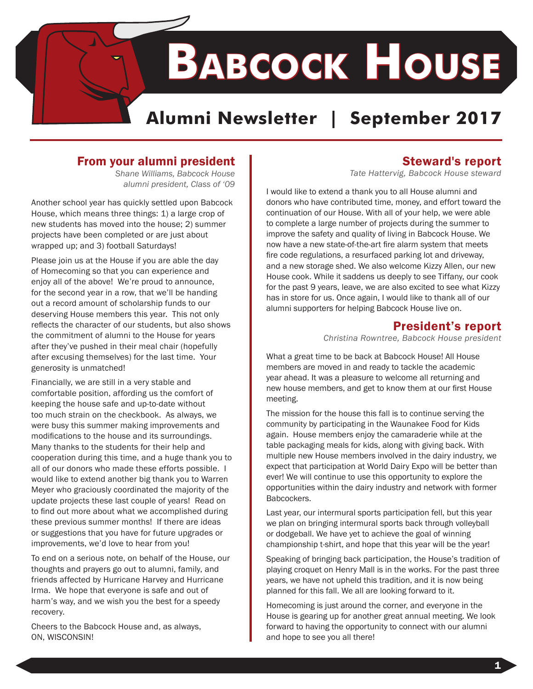# **Babcock House**

## **Alumni Newsletter | September 2017**

## From your alumni president

*Shane Williams, Babcock House alumni president, Class of '09*

Another school year has quickly settled upon Babcock House, which means three things: 1) a large crop of new students has moved into the house; 2) summer projects have been completed or are just about wrapped up; and 3) football Saturdays!

Please join us at the House if you are able the day of Homecoming so that you can experience and enjoy all of the above! We're proud to announce, for the second year in a row, that we'll be handing out a record amount of scholarship funds to our deserving House members this year. This not only reflects the character of our students, but also shows the commitment of alumni to the House for years after they've pushed in their meal chair (hopefully after excusing themselves) for the last time. Your generosity is unmatched!

Financially, we are still in a very stable and comfortable position, affording us the comfort of keeping the house safe and up-to-date without too much strain on the checkbook. As always, we were busy this summer making improvements and modifications to the house and its surroundings. Many thanks to the students for their help and cooperation during this time, and a huge thank you to all of our donors who made these efforts possible. I would like to extend another big thank you to Warren Meyer who graciously coordinated the majority of the update projects these last couple of years! Read on to find out more about what we accomplished during these previous summer months! If there are ideas or suggestions that you have for future upgrades or improvements, we'd love to hear from you!

To end on a serious note, on behalf of the House, our thoughts and prayers go out to alumni, family, and friends affected by Hurricane Harvey and Hurricane Irma. We hope that everyone is safe and out of harm's way, and we wish you the best for a speedy recovery.

Cheers to the Babcock House and, as always, ON, WISCONSIN!

## Steward's report

*Tate Hattervig, Babcock House steward*

I would like to extend a thank you to all House alumni and donors who have contributed time, money, and effort toward the continuation of our House. With all of your help, we were able to complete a large number of projects during the summer to improve the safety and quality of living in Babcock House. We now have a new state-of-the-art fire alarm system that meets fire code regulations, a resurfaced parking lot and driveway, and a new storage shed. We also welcome Kizzy Allen, our new House cook. While it saddens us deeply to see Tiffany, our cook for the past 9 years, leave, we are also excited to see what Kizzy has in store for us. Once again, I would like to thank all of our alumni supporters for helping Babcock House live on.

### President's report

*Christina Rowntree, Babcock House president* 

What a great time to be back at Babcock House! All House members are moved in and ready to tackle the academic year ahead. It was a pleasure to welcome all returning and new house members, and get to know them at our first House meeting.

The mission for the house this fall is to continue serving the community by participating in the Waunakee Food for Kids again. House members enjoy the camaraderie while at the table packaging meals for kids, along with giving back. With multiple new House members involved in the dairy industry, we expect that participation at World Dairy Expo will be better than ever! We will continue to use this opportunity to explore the opportunities within the dairy industry and network with former Babcockers.

Last year, our intermural sports participation fell, but this year we plan on bringing intermural sports back through volleyball or dodgeball. We have yet to achieve the goal of winning championship t-shirt, and hope that this year will be the year!

Speaking of bringing back participation, the House's tradition of playing croquet on Henry Mall is in the works. For the past three years, we have not upheld this tradition, and it is now being planned for this fall. We all are looking forward to it.

Homecoming is just around the corner, and everyone in the House is gearing up for another great annual meeting. We look forward to having the opportunity to connect with our alumni and hope to see you all there!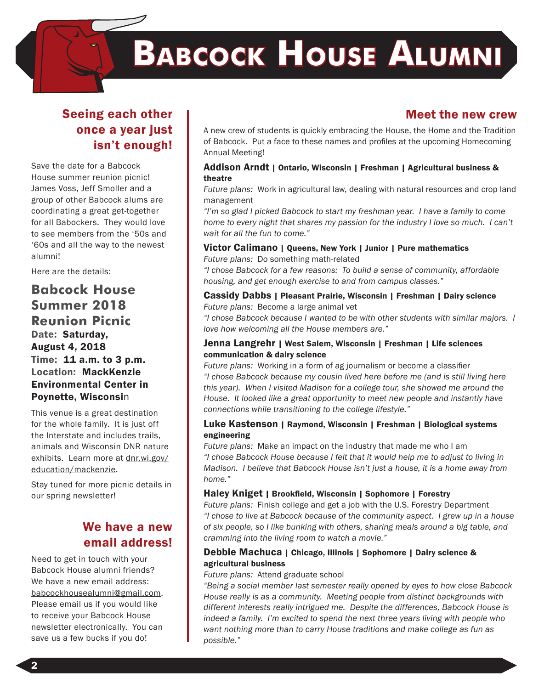## **Babcock House Alumni**

## Seeing each other once a year just isn't enough!

Save the date for a Babcock House summer reunion picnic! James Voss, Jeff Smoller and a group of other Babcock alums are coordinating a great get-together for all Babockers. They would love to see members from the '50s and '60s and all the way to the newest alumni!

Here are the details:

### **Babcock House Summer 2018 Reunion Picnic** Date: Saturday, August 4, 2018 Time: 11 a.m. to 3 p.m. Location: MackKenzie Environmental Center in Poynette, Wisconsin

This venue is a great destination for the whole family. It is just off the Interstate and includes trails, animals and Wisconsin DNR nature exhibits. Learn more at dnr.wi.gov/ education/mackenzie.

Stay tuned for more picnic details in our spring newsletter!

## We have a new email address!

Need to get in touch with your Babcock House alumni friends? We have a new email address: babcockhousealumni@gmail.com. Please email us if you would like to receive your Babcock House newsletter electronically. You can save us a few bucks if you do!

## Meet the new crew

A new crew of students is quickly embracing the House, the Home and the Tradition of Babcock. Put a face to these names and profiles at the upcoming Homecoming Annual Meeting!

#### Addison Arndt | Ontario, Wisconsin | Freshman | Agricultural business & theatre

*Future plans:* Work in agricultural law, dealing with natural resources and crop land management

*"I'm so glad I picked Babcock to start my freshman year. I have a family to come home to every night that shares my passion for the industry I love so much. I can't wait for all the fun to come."*

#### Victor Calimano | Queens, New York | Junior | Pure mathematics

*Future plans:* Do something math-related

*"I chose Babcock for a few reasons: To build a sense of community, affordable housing, and get enough exercise to and from campus classes."*

#### Cassidy Dabbs | Pleasant Prairie, Wisconsin | Freshman | Dairy science *Future plans:* Become a large animal vet

*"I chose Babcock because I wanted to be with other students with similar majors. I love how welcoming all the House members are."*

#### Jenna Langrehr | West Salem, Wisconsin | Freshman | Life sciences communication & dairy science

*Future plans:* Working in a form of ag journalism or become a classifier *"I chose Babcock because my cousin lived here before me (and is still living here this year). When I visited Madison for a college tour, she showed me around the House. It looked like a great opportunity to meet new people and instantly have connections while transitioning to the college lifestyle."*

#### Luke Kastenson | Raymond, Wisconsin | Freshman | Biological systems engineering

*Future plans:* Make an impact on the industry that made me who I am *"I chose Babcock House because I felt that it would help me to adjust to living in Madison. I believe that Babcock House isn't just a house, it is a home away from home."*

#### Haley Kniget | Brookfield, Wisconsin | Sophomore | Forestry

*Future plans:* Finish college and get a job with the U.S. Forestry Department *"I chose to live at Babcock because of the community aspect. I grew up in a house of six people, so I like bunking with others, sharing meals around a big table, and cramming into the living room to watch a movie."*

#### Debbie Machuca | Chicago, Illinois | Sophomore | Dairy science & agricultural business

#### *Future plans:* Attend graduate school

*"Being a social member last semester really opened by eyes to how close Babcock House really is as a community. Meeting people from distinct backgrounds with different interests really intrigued me. Despite the differences, Babcock House is indeed a family. I'm excited to spend the next three years living with people who want nothing more than to carry House traditions and make college as fun as possible."*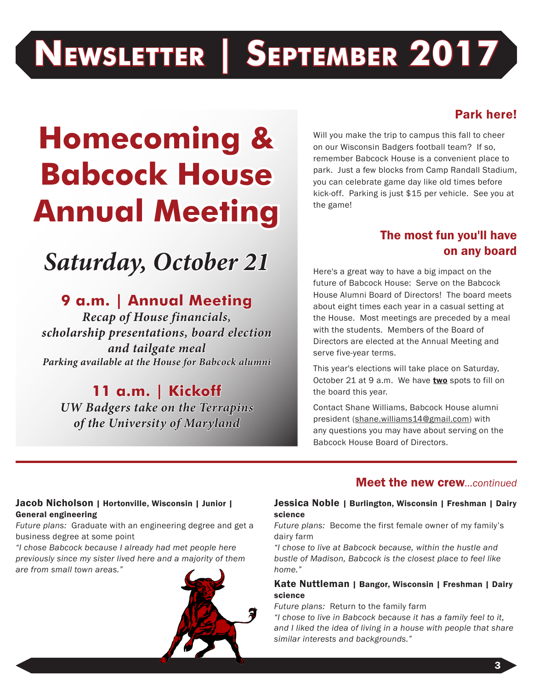## **Newsletter | September 2017**

## **Homecoming & Babcock House Annual Meeting**

## *Saturday, October 21*

## **9 a.m. | Annual Meeting**

*Recap of House financials, scholarship presentations, board election and tailgate meal Parking available at the House for Babcock alumni*

**11 a.m. | Kickoff**  *UW Badgers take on the Terrapins of the University of Maryland*

## Park here!

Will you make the trip to campus this fall to cheer on our Wisconsin Badgers football team? If so, remember Babcock House is a convenient place to park. Just a few blocks from Camp Randall Stadium, you can celebrate game day like old times before kick-off. Parking is just \$15 per vehicle. See you at the game!

## The most fun you'll have on any board

Here's a great way to have a big impact on the future of Babcock House: Serve on the Babcock House Alumni Board of Directors! The board meets about eight times each year in a casual setting at the House. Most meetings are preceded by a meal with the students. Members of the Board of Directors are elected at the Annual Meeting and serve five-year terms.

This year's elections will take place on Saturday, October 21 at 9 a.m. We have two spots to fill on the board this year.

Contact Shane Williams, Babcock House alumni president (shane.williams14@gmail.com) with any questions you may have about serving on the Babcock House Board of Directors.

### Meet the new crew*...continued*

#### Jacob Nicholson | Hortonville, Wisconsin | Junior | General engineering

*Future plans:* Graduate with an engineering degree and get a business degree at some point

*"I chose Babcock because I already had met people here previously since my sister lived here and a majority of them are from small town areas."*



#### Jessica Noble | Burlington, Wisconsin | Freshman | Dairy science

*Future plans:* Become the first female owner of my family's dairy farm

*"I chose to live at Babcock because, within the hustle and bustle of Madison, Babcock is the closest place to feel like home."*

#### Kate Nuttleman | Bangor, Wisconsin | Freshman | Dairy science

*Future plans:* Return to the family farm

*"I chose to live in Babcock because it has a family feel to it, and I liked the idea of living in a house with people that share similar interests and backgrounds."*